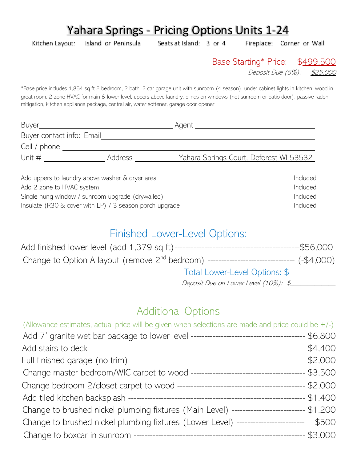# Yahara Springs - Pricing Options Units 1-24

Kitchen Layout: Island or Peninsula Seats at Island: 3 or 4 Fireplace: Corner or Wall

Base Starting\* Price: \$499,500

Deposit Due (5%): \$25,000

\*Base price includes 1,854 sq ft 2 bedroom, 2 bath, 2 car garage unit with sunroom (4 season), under cabinet lights in kitchen, wood in great room, 2-zone HVAC for main & lower level, uppers above laundry, blinds on windows (not sunroom or patio door), passive radon mitigation, kitchen appliance package, central air, water softener, garage door opener

| Buyer_                    |         | Agent ___                                      |
|---------------------------|---------|------------------------------------------------|
| Buyer contact info: Email |         |                                                |
| Cell / phone $\sqrt{ }$   |         |                                                |
| Unit #                    | Address | <u>Yahara Springs Court, Deforest WI 53532</u> |
|                           |         |                                                |

Add uppers to laundry above washer & dryer area Included and the Uncluded Included Add 2 zone to HVAC system **Included** Single hung window / sunroom upgrade (drywalled) Single hung window / sunroom upgrade (drywalled) Insulate (R30 & cover with LP) / 3 season porch upgrade Included Included

## Finished Lower-Level Options:

|                                                                                                | ----\$56,000 |
|------------------------------------------------------------------------------------------------|--------------|
| Change to Option A layout (remove $2^{nd}$ bedroom) ------------------------------- (-\$4,000) |              |
| Total Lower-Level Options: \$                                                                  |              |
| Deposit Due on Lower Level (10%): \$                                                           |              |

## Additional Options

| (Allowance estimates, actual price will be given when selections are made and price could be $+/-$ ) |  |
|------------------------------------------------------------------------------------------------------|--|
|                                                                                                      |  |
|                                                                                                      |  |
|                                                                                                      |  |
|                                                                                                      |  |
|                                                                                                      |  |
|                                                                                                      |  |
| Change to brushed nickel plumbing fixtures (Main Level) -------------------------- \$1,200           |  |
| Change to brushed nickel plumbing fixtures (Lower Level) ------------------------ \$500              |  |
|                                                                                                      |  |